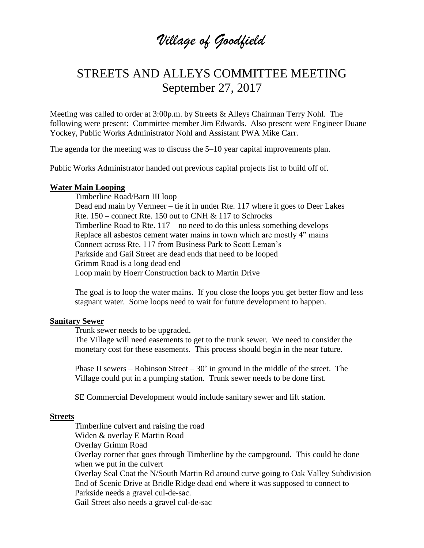# *Village of Goodfield*

## STREETS AND ALLEYS COMMITTEE MEETING September 27, 2017

Meeting was called to order at 3:00p.m. by Streets & Alleys Chairman Terry Nohl. The following were present: Committee member Jim Edwards. Also present were Engineer Duane Yockey, Public Works Administrator Nohl and Assistant PWA Mike Carr.

The agenda for the meeting was to discuss the 5–10 year capital improvements plan.

Public Works Administrator handed out previous capital projects list to build off of.

#### **Water Main Looping**

Timberline Road/Barn III loop Dead end main by Vermeer – tie it in under Rte. 117 where it goes to Deer Lakes Rte. 150 – connect Rte. 150 out to CNH & 117 to Schrocks Timberline Road to Rte. 117 – no need to do this unless something develops Replace all asbestos cement water mains in town which are mostly 4" mains Connect across Rte. 117 from Business Park to Scott Leman's Parkside and Gail Street are dead ends that need to be looped Grimm Road is a long dead end Loop main by Hoerr Construction back to Martin Drive

The goal is to loop the water mains. If you close the loops you get better flow and less stagnant water. Some loops need to wait for future development to happen.

#### **Sanitary Sewer**

Trunk sewer needs to be upgraded.

The Village will need easements to get to the trunk sewer. We need to consider the monetary cost for these easements. This process should begin in the near future.

Phase II sewers – Robinson Street –  $30'$  in ground in the middle of the street. The Village could put in a pumping station. Trunk sewer needs to be done first.

SE Commercial Development would include sanitary sewer and lift station.

#### **Streets**

Timberline culvert and raising the road Widen & overlay E Martin Road Overlay Grimm Road Overlay corner that goes through Timberline by the campground. This could be done when we put in the culvert Overlay Seal Coat the N/South Martin Rd around curve going to Oak Valley Subdivision End of Scenic Drive at Bridle Ridge dead end where it was supposed to connect to Parkside needs a gravel cul-de-sac.

Gail Street also needs a gravel cul-de-sac